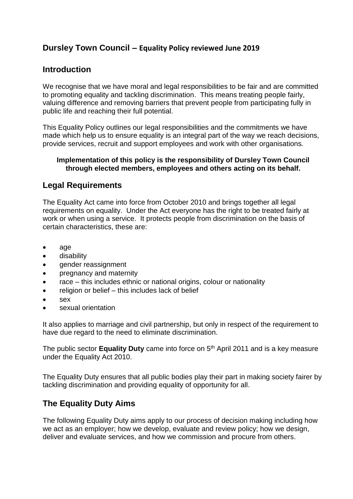### **Dursley Town Council – Equality Policy reviewed June 2019**

#### **Introduction**

We recognise that we have moral and legal responsibilities to be fair and are committed to promoting equality and tackling discrimination. This means treating people fairly, valuing difference and removing barriers that prevent people from participating fully in public life and reaching their full potential.

This Equality Policy outlines our legal responsibilities and the commitments we have made which help us to ensure equality is an integral part of the way we reach decisions, provide services, recruit and support employees and work with other organisations.

#### **Implementation of this policy is the responsibility of Dursley Town Council through elected members, employees and others acting on its behalf.**

#### **Legal Requirements**

The Equality Act came into force from October 2010 and brings together all legal requirements on equality. Under the Act everyone has the right to be treated fairly at work or when using a service. It protects people from discrimination on the basis of certain characteristics, these are:

- age
- disability
- gender reassignment
- pregnancy and maternity
- race this includes ethnic or national origins, colour or nationality
- religion or belief this includes lack of belief
- sex
- sexual orientation

It also applies to marriage and civil partnership, but only in respect of the requirement to have due regard to the need to eliminate discrimination.

The public sector **Equality Duty** came into force on 5th April 2011 and is a key measure under the Equality Act 2010.

The Equality Duty ensures that all public bodies play their part in making society fairer by tackling discrimination and providing equality of opportunity for all.

#### **The Equality Duty Aims**

The following Equality Duty aims apply to our process of decision making including how we act as an employer; how we develop, evaluate and review policy; how we design, deliver and evaluate services, and how we commission and procure from others.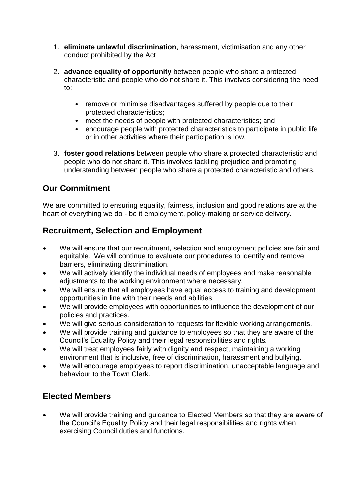- 1. **eliminate unlawful discrimination**, harassment, victimisation and any other conduct prohibited by the Act
- 2. **advance equality of opportunity** between people who share a protected characteristic and people who do not share it. This involves considering the need to:
	- remove or minimise disadvantages suffered by people due to their protected characteristics;
	- meet the needs of people with protected characteristics; and
	- encourage people with protected characteristics to participate in public life or in other activities where their participation is low.
- 3. **foster good relations** between people who share a protected characteristic and people who do not share it. This involves tackling prejudice and promoting understanding between people who share a protected characteristic and others.

## **Our Commitment**

We are committed to ensuring equality, fairness, inclusion and good relations are at the heart of everything we do - be it employment, policy-making or service delivery.

# **Recruitment, Selection and Employment**

- We will ensure that our recruitment, selection and employment policies are fair and equitable. We will continue to evaluate our procedures to identify and remove barriers, eliminating discrimination.
- We will actively identify the individual needs of employees and make reasonable adjustments to the working environment where necessary.
- We will ensure that all employees have equal access to training and development opportunities in line with their needs and abilities.
- We will provide employees with opportunities to influence the development of our policies and practices.
- We will give serious consideration to requests for flexible working arrangements.
- We will provide training and guidance to employees so that they are aware of the Council's Equality Policy and their legal responsibilities and rights.
- We will treat employees fairly with dignity and respect, maintaining a working environment that is inclusive, free of discrimination, harassment and bullying.
- We will encourage employees to report discrimination, unacceptable language and behaviour to the Town Clerk.

## **Elected Members**

• We will provide training and guidance to Elected Members so that they are aware of the Council's Equality Policy and their legal responsibilities and rights when exercising Council duties and functions.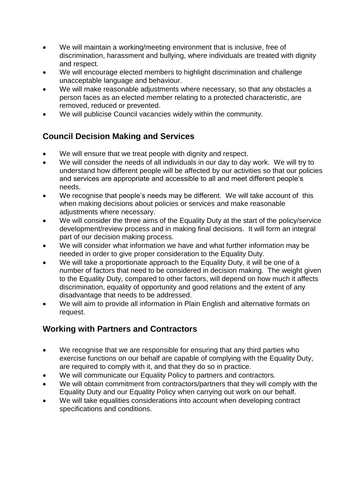- We will maintain a working/meeting environment that is inclusive, free of discrimination, harassment and bullying, where individuals are treated with dignity and respect.
- We will encourage elected members to highlight discrimination and challenge unacceptable language and behaviour.
- We will make reasonable adjustments where necessary, so that any obstacles a person faces as an elected member relating to a protected characteristic, are removed, reduced or prevented.
- We will publicise Council vacancies widely within the community.

# **Council Decision Making and Services**

- We will ensure that we treat people with dignity and respect.
- We will consider the needs of all individuals in our day to day work. We will try to understand how different people will be affected by our activities so that our policies and services are appropriate and accessible to all and meet different people's needs.
- We recognise that people's needs may be different. We will take account of this when making decisions about policies or services and make reasonable adiustments where necessary.
- We will consider the three aims of the Equality Duty at the start of the policy/service development/review process and in making final decisions. It will form an integral part of our decision making process.
- We will consider what information we have and what further information may be needed in order to give proper consideration to the Equality Duty.
- We will take a proportionate approach to the Equality Duty, it will be one of a number of factors that need to be considered in decision making. The weight given to the Equality Duty, compared to other factors, will depend on how much it affects discrimination, equality of opportunity and good relations and the extent of any disadvantage that needs to be addressed.
- We will aim to provide all information in Plain English and alternative formats on request.

# **Working with Partners and Contractors**

- We recognise that we are responsible for ensuring that any third parties who exercise functions on our behalf are capable of complying with the Equality Duty, are required to comply with it, and that they do so in practice.
- We will communicate our Equality Policy to partners and contractors.
- We will obtain commitment from contractors/partners that they will comply with the Equality Duty and our Equality Policy when carrying out work on our behalf.
- We will take equalities considerations into account when developing contract specifications and conditions.